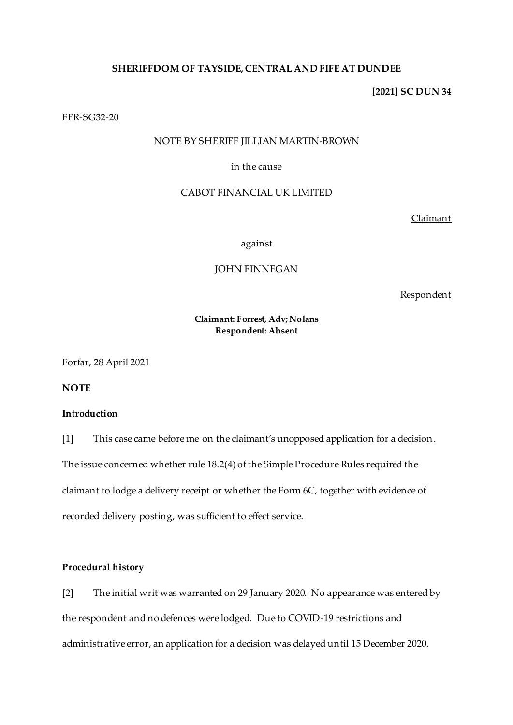## **SHERIFFDOM OF TAYSIDE, CENTRAL AND FIFE AT DUNDEE**

#### **[2021] SC DUN 34**

#### FFR-SG32-20

# NOTE BY SHERIFF JILLIAN MARTIN-BROWN

### in the cause

#### CABOT FINANCIAL UK LIMITED

Claimant

against

# JOHN FINNEGAN

Respondent

## **Claimant: Forrest, Adv; Nolans Respondent: Absent**

Forfar, 28 April 2021

**NOTE**

## **Introduction**

[1] This case came before me on the claimant's unopposed application for a decision. The issue concerned whether rule 18.2(4) of the Simple Procedure Rules required the claimant to lodge a delivery receipt or whether the Form 6C, together with evidence of recorded delivery posting, was sufficient to effect service.

### **Procedural history**

[2] The initial writ was warranted on 29 January 2020. No appearance was entered by the respondent and no defences were lodged. Due to COVID-19 restrictions and administrative error, an application for a decision was delayed until 15 December 2020.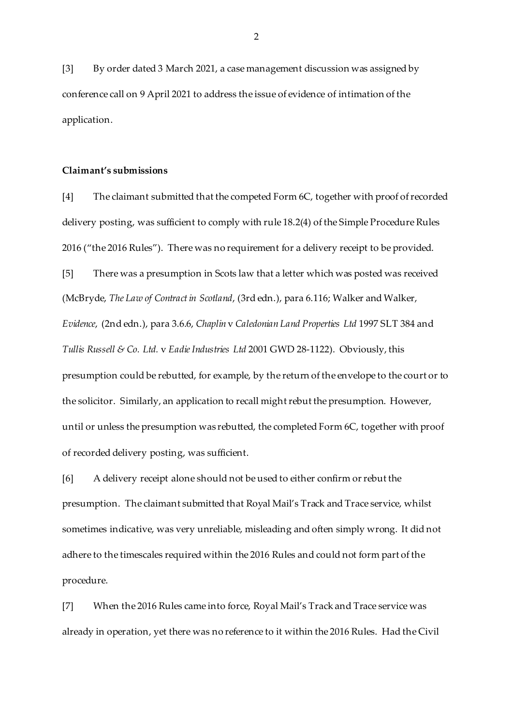[3] By order dated 3 March 2021, a case management discussion was assigned by conference call on 9 April 2021 to address the issue of evidence of intimation of the application.

#### **Claimant's submissions**

[4] The claimant submitted that the competed Form 6C, together with proof of recorded delivery posting, was sufficient to comply with rule 18.2(4) of the Simple Procedure Rules 2016 ("the 2016 Rules"). There was no requirement for a delivery receipt to be provided.

[5] There was a presumption in Scots law that a letter which was posted was received (McBryde, *The Law of Contract in Scotland*, (3rd edn.), para 6.116; Walker and Walker, *Evidence*, (2nd edn.), para 3.6.6, *Chaplin* v *Caledonian Land Properties Ltd* 1997 SLT 384 and *Tullis Russell & Co. Ltd.* v *Eadie Industries Ltd* 2001 GWD 28-1122). Obviously, this presumption could be rebutted, for example, by the return of the envelope to the court or to the solicitor. Similarly, an application to recall might rebut the presumption. However, until or unless the presumption was rebutted, the completed Form 6C, together with proof of recorded delivery posting, was sufficient.

[6] A delivery receipt alone should not be used to either confirm or rebut the presumption. The claimant submitted that Royal Mail's Track and Trace service, whilst sometimes indicative, was very unreliable, misleading and often simply wrong. It did not adhere to the timescales required within the 2016 Rules and could not form part of the procedure.

[7] When the 2016 Rules came into force, Royal Mail's Track and Trace service was already in operation, yet there was no reference to it within the 2016 Rules. Had the Civil

2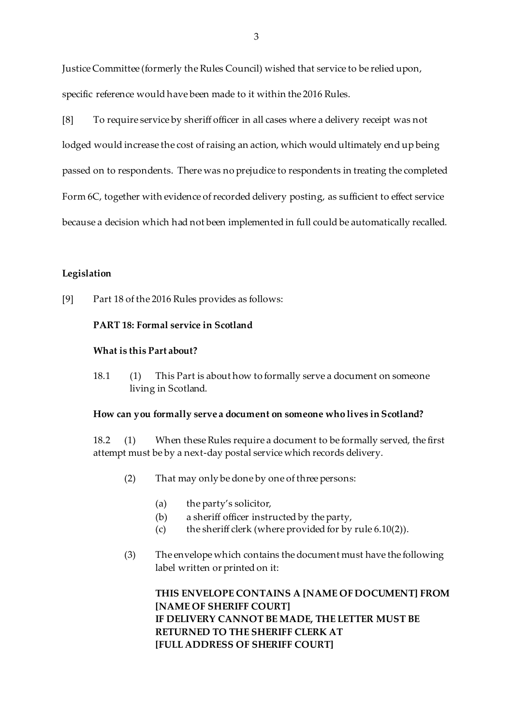Justice Committee (formerly the Rules Council) wished that service to be relied upon, specific reference would have been made to it within the 2016 Rules.

[8] To require service by sheriff officer in all cases where a delivery receipt was not

lodged would increase the cost of raising an action, which would ultimately end up being passed on to respondents. There was no prejudice to respondents in treating the completed Form 6C, together with evidence of recorded delivery posting, as sufficient to effect service because a decision which had not been implemented in full could be automatically recalled.

## **Legislation**

[9] Part 18 of the 2016 Rules provides as follows:

### **PART 18: Formal service in Scotland**

#### **What is this Part about?**

18.1 (1) This Part is about how to formally serve a document on someone living in Scotland.

#### **How can you formally serve a document on someone who lives in Scotland?**

18.2 (1) When these Rules require a document to be formally served, the first attempt must be by a next-day postal service which records delivery.

- (2) That may only be done by one of three persons:
	- (a) the party's solicitor,
	- (b) a sheriff officer instructed by the party,
	- (c) the sheriff clerk (where provided for by rule 6.10(2)).
- (3) The envelope which contains the document must have the following label written or printed on it:

**THIS ENVELOPE CONTAINS A [NAME OF DOCUMENT] FROM [NAME OF SHERIFF COURT] IF DELIVERY CANNOT BE MADE, THE LETTER MUST BE RETURNED TO THE SHERIFF CLERK AT [FULL ADDRESS OF SHERIFF COURT]**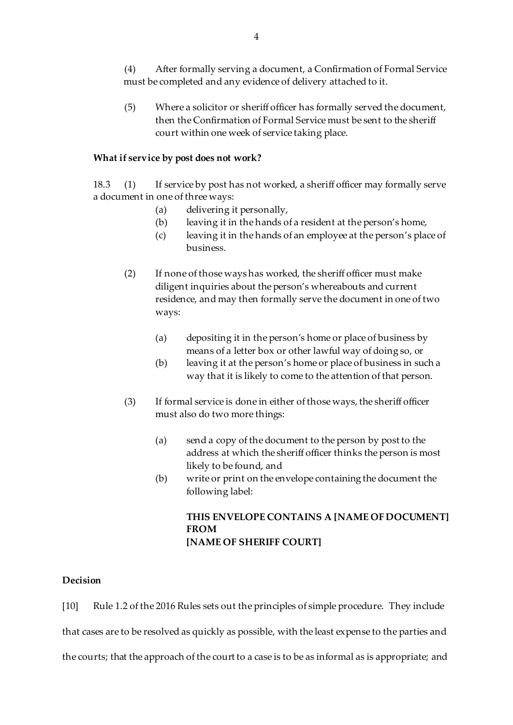(4) After formally serving a document, a Confirmation of Formal Service must be completed and any evidence of delivery attached to it.

(5) Where a solicitor or sheriff officer has formally served the document, then the Confirmation of Formal Service must be sent to the sheriff court within one week of service taking place.

### **What if service by post does not work?**

18.3 (1) If service by post has not worked, a sheriff officer may formally serve a document in one of three ways:

- (a) delivering it personally,
- (b) leaving it in the hands of a resident at the person's home,
- (c) leaving it in the hands of an employee at the person's place of business.
- (2) If none of those ways has worked, the sheriff officer must make diligent inquiries about the person's whereabouts and current residence, and may then formally serve the document in one of two ways:
	- (a) depositing it in the person's home or place of business by means of a letter box or other lawful way of doing so, or
	- (b) leaving it at the person's home or place of business in such a way that it is likely to come to the attention of that person.
- (3) If formal service is done in either of those ways, the sheriff officer must also do two more things:
	- (a) send a copy of the document to the person by post to the address at which the sheriff officer thinks the person is most likely to be found, and
	- (b) write or print on the envelope containing the document the following label:

# **THIS ENVELOPE CONTAINS A [NAME OF DOCUMENT] FROM [NAME OF SHERIFF COURT]**

## **Decision**

[10] Rule 1.2 of the 2016 Rules sets out the principles of simple procedure. They include that cases are to be resolved as quickly as possible, with the least expense to the parties and the courts; that the approach of the court to a case is to be as informal as is appropriate; and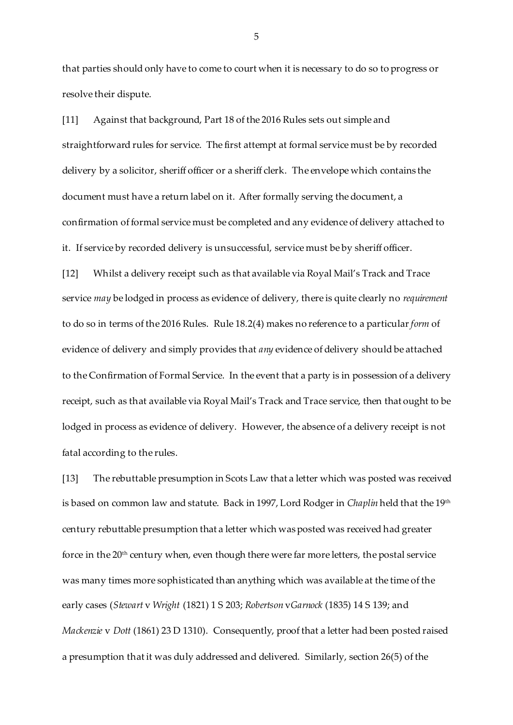that parties should only have to come to court when it is necessary to do so to progress or resolve their dispute.

[11] Against that background, Part 18 of the 2016 Rules sets out simple and straightforward rules for service. The first attempt at formal service must be by recorded delivery by a solicitor, sheriff officer or a sheriff clerk. The envelope which contains the document must have a return label on it. After formally serving the document, a confirmation of formal service must be completed and any evidence of delivery attached to it. If service by recorded delivery is unsuccessful, service must be by sheriff officer.

[12] Whilst a delivery receipt such as that available via Royal Mail's Track and Trace service *may* be lodged in process as evidence of delivery, there is quite clearly no *requirement* to do so in terms of the 2016 Rules. Rule 18.2(4) makes no reference to a particular *form* of evidence of delivery and simply provides that *any* evidence of delivery should be attached to the Confirmation of Formal Service. In the event that a party is in possession of a delivery receipt, such as that available via Royal Mail's Track and Trace service, then that ought to be lodged in process as evidence of delivery. However, the absence of a delivery receipt is not fatal according to the rules.

[13] The rebuttable presumption in Scots Law that a letter which was posted was received is based on common law and statute. Back in 1997, Lord Rodger in *Chaplin* held that the 19<sup>th</sup> century rebuttable presumption that a letter which was posted was received had greater force in the 20<sup>th</sup> century when, even though there were far more letters, the postal service was many times more sophisticated than anything which was available at the time of the early cases (*Stewart* v *Wright* (1821) 1 S 203; *Robertson* v*Garnock* (1835) 14 S 139; and *Mackenzie* v *Dott* (1861) 23 D 1310). Consequently, proof that a letter had been posted raised a presumption that it was duly addressed and delivered. Similarly, section 26(5) of the

5